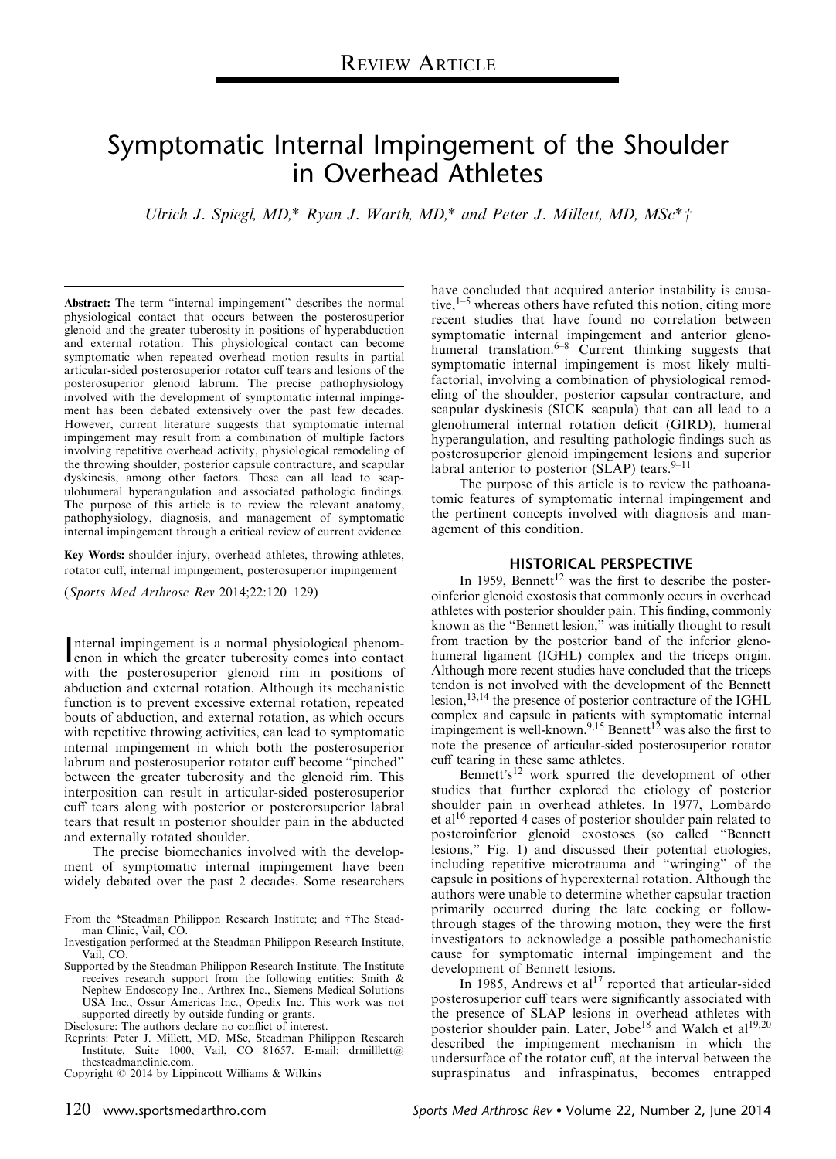# Symptomatic Internal Impingement of the Shoulder in Overhead Athletes

Ulrich J. Spiegl, MD,\* Ryan J. Warth, MD,\* and Peter J. Millett, MD,  $MSc^* \dagger$ 

Abstract: The term "internal impingement" describes the normal physiological contact that occurs between the posterosuperior glenoid and the greater tuberosity in positions of hyperabduction and external rotation. This physiological contact can become symptomatic when repeated overhead motion results in partial articular-sided posterosuperior rotator cuff tears and lesions of the posterosuperior glenoid labrum. The precise pathophysiology involved with the development of symptomatic internal impingement has been debated extensively over the past few decades. However, current literature suggests that symptomatic internal impingement may result from a combination of multiple factors involving repetitive overhead activity, physiological remodeling of the throwing shoulder, posterior capsule contracture, and scapular dyskinesis, among other factors. These can all lead to scapulohumeral hyperangulation and associated pathologic findings. The purpose of this article is to review the relevant anatomy, pathophysiology, diagnosis, and management of symptomatic internal impingement through a critical review of current evidence.

Key Words: shoulder injury, overhead athletes, throwing athletes, rotator cuff, internal impingement, posterosuperior impingement

(Sports Med Arthrosc Rev 2014;22:120–129)

Internal impingement is a normal physiological phenom-<br>enon in which the greater tuberosity comes into contact<br>with the nostingenessing classification in a positions of nternal impingement is a normal physiological phenomwith the posterosuperior glenoid rim in positions of abduction and external rotation. Although its mechanistic function is to prevent excessive external rotation, repeated bouts of abduction, and external rotation, as which occurs with repetitive throwing activities, can lead to symptomatic internal impingement in which both the posterosuperior labrum and posterosuperior rotator cuff become "pinched" between the greater tuberosity and the glenoid rim. This interposition can result in articular-sided posterosuperior cuff tears along with posterior or posterorsuperior labral tears that result in posterior shoulder pain in the abducted and externally rotated shoulder.

The precise biomechanics involved with the development of symptomatic internal impingement have been widely debated over the past 2 decades. Some researchers

Disclosure: The authors declare no conflict of interest.

have concluded that acquired anterior instability is causative, $1-5$  whereas others have refuted this notion, citing more recent studies that have found no correlation between symptomatic internal impingement and anterior glenohumeral translation. $6-8$  Current thinking suggests that symptomatic internal impingement is most likely multifactorial, involving a combination of physiological remodeling of the shoulder, posterior capsular contracture, and scapular dyskinesis (SICK scapula) that can all lead to a glenohumeral internal rotation deficit (GIRD), humeral hyperangulation, and resulting pathologic findings such as posterosuperior glenoid impingement lesions and superior labral anterior to posterior  $(S\bar{L}AP)$  tears.<sup>9-11</sup>

The purpose of this article is to review the pathoanatomic features of symptomatic internal impingement and the pertinent concepts involved with diagnosis and management of this condition.

# HISTORICAL PERSPECTIVE

In 1959, Bennett<sup>12</sup> was the first to describe the posteroinferior glenoid exostosis that commonly occurs in overhead athletes with posterior shoulder pain. This finding, commonly known as the "Bennett lesion," was initially thought to result from traction by the posterior band of the inferior glenohumeral ligament (IGHL) complex and the triceps origin. Although more recent studies have concluded that the triceps tendon is not involved with the development of the Bennett lesion,[13,14](#page-7-0) the presence of posterior contracture of the IGHL complex and capsule in patients with symptomatic internal impingement is well-known.<sup>9,15</sup> Bennett<sup>[12](#page-7-0)</sup> was also the first to note the presence of articular-sided posterosuperior rotator cuff tearing in these same athletes.

Bennett's<sup>[12](#page-7-0)</sup> work spurred the development of other studies that further explored the etiology of posterior shoulder pain in overhead athletes. In 1977, Lombardo et al<sup>[16](#page-7-0)</sup> reported 4 cases of posterior shoulder pain related to posteroinferior glenoid exostoses (so called "Bennett lesions," [Fig. 1](#page-1-0)) and discussed their potential etiologies, including repetitive microtrauma and "wringing" of the capsule in positions of hyperexternal rotation. Although the authors were unable to determine whether capsular traction primarily occurred during the late cocking or followthrough stages of the throwing motion, they were the first investigators to acknowledge a possible pathomechanistic cause for symptomatic internal impingement and the development of Bennett lesions.

In 1985, Andrews et al<sup>[17](#page-7-0)</sup> reported that articular-sided posterosuperior cuff tears were significantly associated with the presence of SLAP lesions in overhead athletes with posterior shoulder pain. Later, Jobe<sup>[18](#page-7-0)</sup> and Walch et al<sup>[19,20](#page-7-0)</sup> described the impingement mechanism in which the undersurface of the rotator cuff, at the interval between the supraspinatus and infraspinatus, becomes entrapped

From the \*Steadman Philippon Research Institute; and †The Steadman Clinic, Vail, CO.

Investigation performed at the Steadman Philippon Research Institute, Vail, CO.

Supported by the Steadman Philippon Research Institute. The Institute receives research support from the following entities: Smith & Nephew Endoscopy Inc., Arthrex Inc., Siemens Medical Solutions USA Inc., Ossur Americas Inc., Opedix Inc. This work was not supported directly by outside funding or grants.

Reprints: Peter J. Millett, MD, MSc, Steadman Philippon Research Institute, Suite 1000, Vail, CO 81657. E-mail: [drmilllett@](mailto:drmilllett@thesteadmanclinic.com) [thesteadmanclinic.com.](mailto:drmilllett@thesteadmanclinic.com)

Copyright  $\odot$  2014 by Lippincott Williams & Wilkins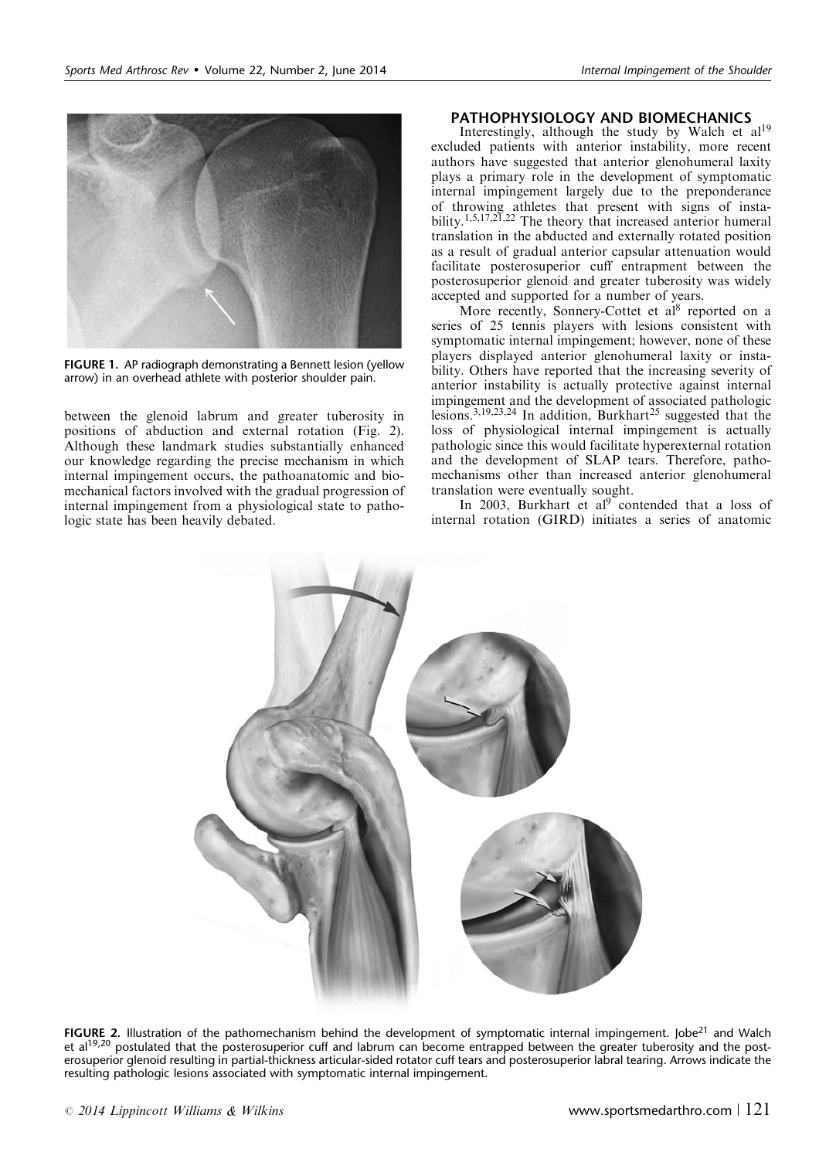<span id="page-1-0"></span>

FIGURE 1. AP radiograph demonstrating a Bennett lesion (yellow arrow) in an overhead athlete with posterior shoulder pain.

between the glenoid labrum and greater tuberosity in positions of abduction and external rotation (Fig. 2). Although these landmark studies substantially enhanced our knowledge regarding the precise mechanism in which internal impingement occurs, the pathoanatomic and biomechanical factors involved with the gradual progression of internal impingement from a physiological state to pathologic state has been heavily debated.

# PATHOPHYSIOLOGY AND BIOMECHANICS

Interestingly, although the study by Walch et al<sup>[19](#page-7-0)</sup> excluded patients with anterior instability, more recent authors have suggested that anterior glenohumeral laxity plays a primary role in the development of symptomatic internal impingement largely due to the preponderance of throwing athletes that present with signs of insta-bility.<sup>[1,5,17,21,22](#page-7-0)</sup> The theory that increased anterior humeral translation in the abducted and externally rotated position as a result of gradual anterior capsular attenuation would facilitate posterosuperior cuff entrapment between the posterosuperior glenoid and greater tuberosity was widely accepted and supported for a number of years.

More recently, Sonnery-Cottet et al<sup>[8](#page-7-0)</sup> reported on a series of 25 tennis players with lesions consistent with symptomatic internal impingement; however, none of these players displayed anterior glenohumeral laxity or instability. Others have reported that the increasing severity of anterior instability is actually protective against internal impingement and the development of associated pathologic lesions.<sup>[3,19,23,24](#page-7-0)</sup> In addition, Burkhart<sup>[25](#page-7-0)</sup> suggested that the loss of physiological internal impingement is actually pathologic since this would facilitate hyperexternal rotation and the development of SLAP tears. Therefore, pathomechanisms other than increased anterior glenohumeral translation were eventually sought.

In 2003, Burkhart et al<sup>[9](#page-7-0)</sup> contended that a loss of internal rotation (GIRD) initiates a series of anatomic



FIGURE 2. Illustration of the pathomechanism behind the development of symptomatic internal impingement. Jobe<sup>21</sup> and Walch et al<sup>[19,20](#page-7-0)</sup> postulated that the posterosuperior cuff and labrum can become entrapped between the greater tuberosity and the posterosuperior glenoid resulting in partial-thickness articular-sided rotator cuff tears and posterosuperior labral tearing. Arrows indicate the resulting pathologic lesions associated with symptomatic internal impingement.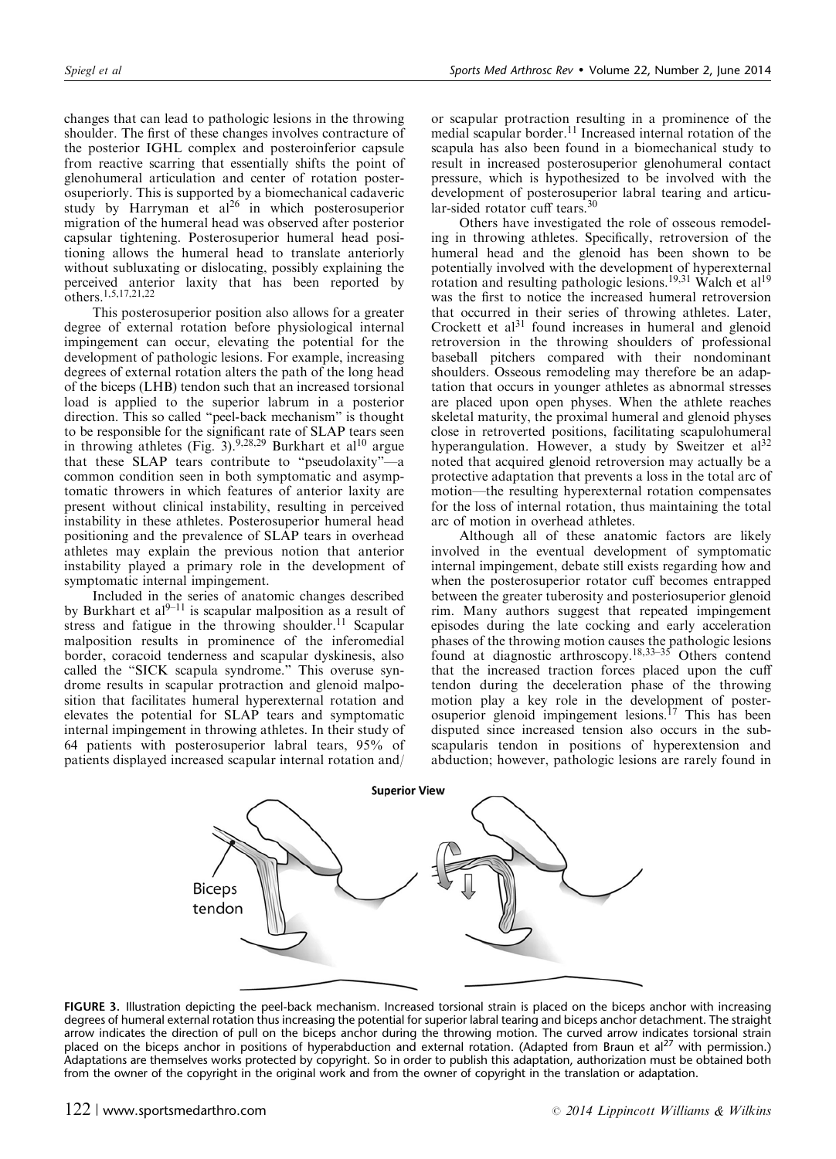changes that can lead to pathologic lesions in the throwing shoulder. The first of these changes involves contracture of the posterior IGHL complex and posteroinferior capsule from reactive scarring that essentially shifts the point of glenohumeral articulation and center of rotation posterosuperiorly. This is supported by a biomechanical cadaveric study by Harryman et  $al^{26}$  $al^{26}$  $al^{26}$  in which posterosuperior migration of the humeral head was observed after posterior capsular tightening. Posterosuperior humeral head positioning allows the humeral head to translate anteriorly without subluxating or dislocating, possibly explaining the perceived anterior laxity that has been reported by others.[1,5,17,21,22](#page-7-0)

This posterosuperior position also allows for a greater degree of external rotation before physiological internal impingement can occur, elevating the potential for the development of pathologic lesions. For example, increasing degrees of external rotation alters the path of the long head of the biceps (LHB) tendon such that an increased torsional load is applied to the superior labrum in a posterior direction. This so called "peel-back mechanism" is thought to be responsible for the significant rate of SLAP tears seen in throwing athletes (Fig.  $3)$ <sup>[9,28,29](#page-7-0)</sup> Burkhart et al<sup>[10](#page-7-0)</sup> argue that these SLAP tears contribute to "pseudolaxity"—a common condition seen in both symptomatic and asymptomatic throwers in which features of anterior laxity are present without clinical instability, resulting in perceived instability in these athletes. Posterosuperior humeral head positioning and the prevalence of SLAP tears in overhead athletes may explain the previous notion that anterior instability played a primary role in the development of symptomatic internal impingement.

Included in the series of anatomic changes described by Burkhart et al<sup>[9–11](#page-7-0)</sup> is scapular malposition as a result of stress and fatigue in the throwing shoulder.<sup>[11](#page-7-0)</sup> Scapular malposition results in prominence of the inferomedial border, coracoid tenderness and scapular dyskinesis, also called the "SICK scapula syndrome." This overuse syndrome results in scapular protraction and glenoid malposition that facilitates humeral hyperexternal rotation and elevates the potential for SLAP tears and symptomatic internal impingement in throwing athletes. In their study of 64 patients with posterosuperior labral tears, 95% of patients displayed increased scapular internal rotation and/ or scapular protraction resulting in a prominence of the medial scapular border.<sup>[11](#page-7-0)</sup> Increased internal rotation of the scapula has also been found in a biomechanical study to result in increased posterosuperior glenohumeral contact pressure, which is hypothesized to be involved with the development of posterosuperior labral tearing and articu-lar-sided rotator cuff tears.<sup>[30](#page-8-0)</sup>

Others have investigated the role of osseous remodeling in throwing athletes. Specifically, retroversion of the humeral head and the glenoid has been shown to be potentially involved with the development of hyperexternal rotation and resulting pathologic lesions.<sup>[19,31](#page-7-0)</sup> Walch et al<sup>[19](#page-7-0)</sup> was the first to notice the increased humeral retroversion that occurred in their series of throwing athletes. Later, Crockett et  $al<sup>31</sup>$  $al<sup>31</sup>$  $al<sup>31</sup>$  found increases in humeral and glenoid retroversion in the throwing shoulders of professional baseball pitchers compared with their nondominant shoulders. Osseous remodeling may therefore be an adaptation that occurs in younger athletes as abnormal stresses are placed upon open physes. When the athlete reaches skeletal maturity, the proximal humeral and glenoid physes close in retroverted positions, facilitating scapulohumeral hyperangulation. However, a study by Sweitzer et al<sup>[32](#page-8-0)</sup> noted that acquired glenoid retroversion may actually be a protective adaptation that prevents a loss in the total arc of motion—the resulting hyperexternal rotation compensates for the loss of internal rotation, thus maintaining the total arc of motion in overhead athletes.

Although all of these anatomic factors are likely involved in the eventual development of symptomatic internal impingement, debate still exists regarding how and when the posterosuperior rotator cuff becomes entrapped between the greater tuberosity and posteriosuperior glenoid rim. Many authors suggest that repeated impingement episodes during the late cocking and early acceleration phases of the throwing motion causes the pathologic lesions found at diagnostic arthroscopy.<sup>[18,33–35](#page-7-0)</sup> Others contend that the increased traction forces placed upon the cuff tendon during the deceleration phase of the throwing motion play a key role in the development of poster-osuperior glenoid impingement lesions.<sup>[17](#page-7-0)</sup> This has been disputed since increased tension also occurs in the subscapularis tendon in positions of hyperextension and abduction; however, pathologic lesions are rarely found in



FIGURE 3. Illustration depicting the peel-back mechanism. Increased torsional strain is placed on the biceps anchor with increasing degrees of humeral external rotation thus increasing the potential for superior labral tearing and biceps anchor detachment. The straight arrow indicates the direction of pull on the biceps anchor during the throwing motion. The curved arrow indicates torsional strain placed on the biceps anchor in positions of hyperabduction and external rotation. (Adapted from Braun et al<sup>[27](#page-7-0)</sup> with permission.) Adaptations are themselves works protected by copyright. So in order to publish this adaptation, authorization must be obtained both from the owner of the copyright in the original work and from the owner of copyright in the translation or adaptation.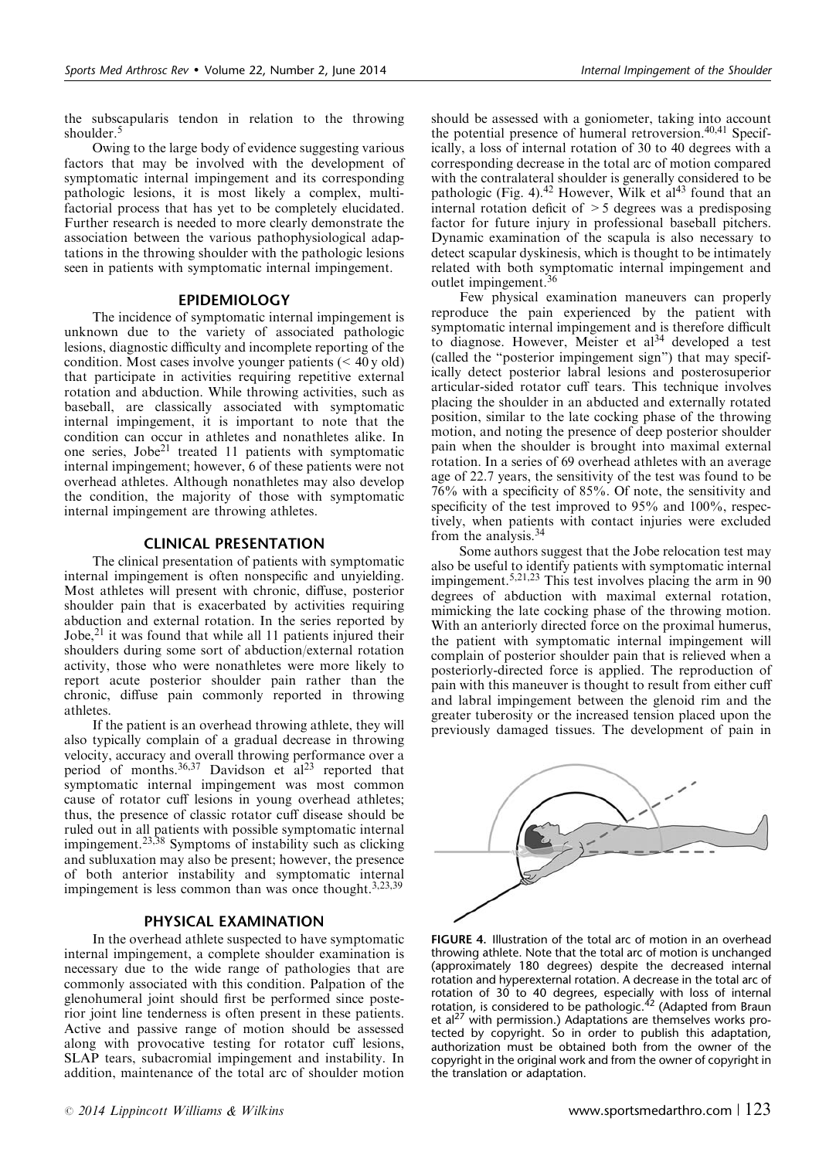the subscapularis tendon in relation to the throwing shoulder.<sup>[5](#page-7-0)</sup>

Owing to the large body of evidence suggesting various factors that may be involved with the development of symptomatic internal impingement and its corresponding pathologic lesions, it is most likely a complex, multifactorial process that has yet to be completely elucidated. Further research is needed to more clearly demonstrate the association between the various pathophysiological adaptations in the throwing shoulder with the pathologic lesions seen in patients with symptomatic internal impingement.

### EPIDEMIOLOGY

The incidence of symptomatic internal impingement is unknown due to the variety of associated pathologic lesions, diagnostic difficulty and incomplete reporting of the condition. Most cases involve younger patients  $(< 40 y old)$ that participate in activities requiring repetitive external rotation and abduction. While throwing activities, such as baseball, are classically associated with symptomatic internal impingement, it is important to note that the condition can occur in athletes and nonathletes alike. In one series, Jobe<sup>[21](#page-7-0)</sup> treated 11 patients with symptomatic internal impingement; however, 6 of these patients were not overhead athletes. Although nonathletes may also develop the condition, the majority of those with symptomatic internal impingement are throwing athletes.

# CLINICAL PRESENTATION

The clinical presentation of patients with symptomatic internal impingement is often nonspecific and unyielding. Most athletes will present with chronic, diffuse, posterior shoulder pain that is exacerbated by activities requiring abduction and external rotation. In the series reported by Jobe, $21$  it was found that while all 11 patients injured their shoulders during some sort of abduction/external rotation activity, those who were nonathletes were more likely to report acute posterior shoulder pain rather than the chronic, diffuse pain commonly reported in throwing athletes.

If the patient is an overhead throwing athlete, they will also typically complain of a gradual decrease in throwing velocity, accuracy and overall throwing performance over a period of months.<sup>[36,37](#page-8-0)</sup> Davidson et al<sup>[23](#page-7-0)</sup> reported that symptomatic internal impingement was most common cause of rotator cuff lesions in young overhead athletes; thus, the presence of classic rotator cuff disease should be ruled out in all patients with possible symptomatic internal impingement.[23,38](#page-7-0) Symptoms of instability such as clicking and subluxation may also be present; however, the presence of both anterior instability and symptomatic internal impingement is less common than was once thought.<sup>[3,23,39](#page-7-0)</sup>

## PHYSICAL EXAMINATION

In the overhead athlete suspected to have symptomatic internal impingement, a complete shoulder examination is necessary due to the wide range of pathologies that are commonly associated with this condition. Palpation of the glenohumeral joint should first be performed since posterior joint line tenderness is often present in these patients. Active and passive range of motion should be assessed along with provocative testing for rotator cuff lesions, SLAP tears, subacromial impingement and instability. In addition, maintenance of the total arc of shoulder motion

should be assessed with a goniometer, taking into account the potential presence of humeral retroversion.<sup>[40,41](#page-8-0)</sup> Specifically, a loss of internal rotation of 30 to 40 degrees with a corresponding decrease in the total arc of motion compared with the contralateral shoulder is generally considered to be pathologic (Fig. 4).<sup>[42](#page-8-0)</sup> However, Wilk et al<sup>[43](#page-8-0)</sup> found that an internal rotation deficit of  $>$  5 degrees was a predisposing factor for future injury in professional baseball pitchers. Dynamic examination of the scapula is also necessary to detect scapular dyskinesis, which is thought to be intimately related with both symptomatic internal impingement and outlet impingement.[36](#page-8-0)

Few physical examination maneuvers can properly reproduce the pain experienced by the patient with symptomatic internal impingement and is therefore difficult to diagnose. However, Meister et al<sup>[34](#page-8-0)</sup> developed a test (called the "posterior impingement sign") that may specifically detect posterior labral lesions and posterosuperior articular-sided rotator cuff tears. This technique involves placing the shoulder in an abducted and externally rotated position, similar to the late cocking phase of the throwing motion, and noting the presence of deep posterior shoulder pain when the shoulder is brought into maximal external rotation. In a series of 69 overhead athletes with an average age of 22.7 years, the sensitivity of the test was found to be 76% with a specificity of 85%. Of note, the sensitivity and specificity of the test improved to 95% and 100%, respectively, when patients with contact injuries were excluded from the analysis.<sup>[34](#page-8-0)</sup>

Some authors suggest that the Jobe relocation test may also be useful to identify patients with symptomatic internal impingement.<sup>[5,21,23](#page-7-0)</sup> This test involves placing the arm in 90 degrees of abduction with maximal external rotation, mimicking the late cocking phase of the throwing motion. With an anteriorly directed force on the proximal humerus, the patient with symptomatic internal impingement will complain of posterior shoulder pain that is relieved when a posteriorly-directed force is applied. The reproduction of pain with this maneuver is thought to result from either cuff and labral impingement between the glenoid rim and the greater tuberosity or the increased tension placed upon the previously damaged tissues. The development of pain in



FIGURE 4. Illustration of the total arc of motion in an overhead throwing athlete. Note that the total arc of motion is unchanged (approximately 180 degrees) despite the decreased internal rotation and hyperexternal rotation. A decrease in the total arc of rotation of 30 to 40 degrees, especially with loss of internal<br>rotation, is considered to be pathologic.<sup>42</sup> (Adapted from Braun et al<sup>27</sup> with permission.) Adaptations are themselves works protected by copyright. So in order to publish this adaptation, authorization must be obtained both from the owner of the copyright in the original work and from the owner of copyright in the translation or adaptation.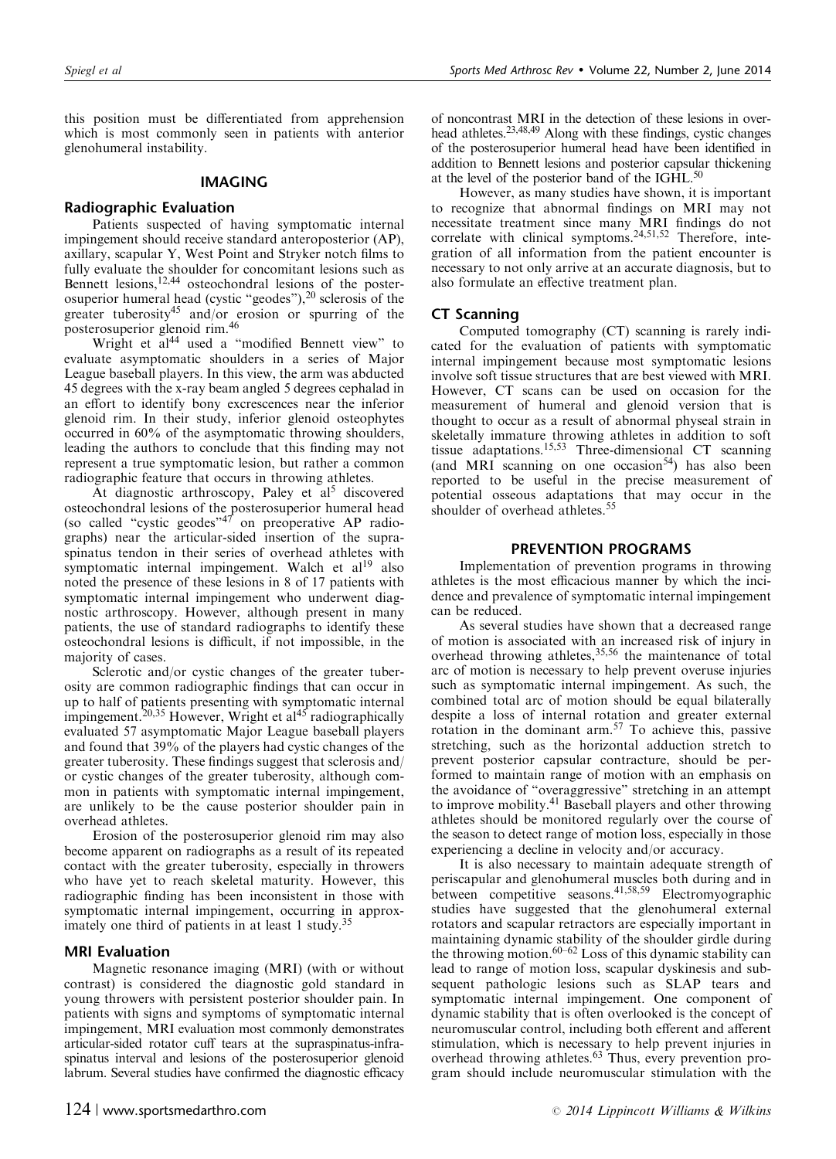this position must be differentiated from apprehension which is most commonly seen in patients with anterior glenohumeral instability.

# IMAGING

# Radiographic Evaluation

Patients suspected of having symptomatic internal impingement should receive standard anteroposterior (AP), axillary, scapular Y, West Point and Stryker notch films to fully evaluate the shoulder for concomitant lesions such as Bennett lesions, $12,44$  osteochondral lesions of the posterosuperior humeral head (cystic "geodes"), $^{20}$  $^{20}$  $^{20}$  sclerosis of the greater tuberosity[45](#page-8-0) and/or erosion or spurring of the posterosuperior glenoid rim.[46](#page-8-0)

Wright et al<sup>[44](#page-8-0)</sup> used a "modified Bennett view" to evaluate asymptomatic shoulders in a series of Major League baseball players. In this view, the arm was abducted 45 degrees with the x-ray beam angled 5 degrees cephalad in an effort to identify bony excrescences near the inferior glenoid rim. In their study, inferior glenoid osteophytes occurred in 60% of the asymptomatic throwing shoulders, leading the authors to conclude that this finding may not represent a true symptomatic lesion, but rather a common radiographic feature that occurs in throwing athletes.

At diagnostic arthroscopy, Paley et  $al<sup>5</sup>$  $al<sup>5</sup>$  $al<sup>5</sup>$  discovered osteochondral lesions of the posterosuperior humeral head (so called "cystic geodes" $47$  on preoperative AP radiographs) near the articular-sided insertion of the supraspinatus tendon in their series of overhead athletes with symptomatic internal impingement. Walch et al<sup>[19](#page-7-0)</sup> also noted the presence of these lesions in 8 of 17 patients with symptomatic internal impingement who underwent diagnostic arthroscopy. However, although present in many patients, the use of standard radiographs to identify these osteochondral lesions is difficult, if not impossible, in the majority of cases.

Sclerotic and/or cystic changes of the greater tuberosity are common radiographic findings that can occur in up to half of patients presenting with symptomatic internal impingement.<sup>[20,35](#page-7-0)</sup> However, Wright et al<sup>[45](#page-8-0)</sup> radiographically evaluated 57 asymptomatic Major League baseball players and found that 39% of the players had cystic changes of the greater tuberosity. These findings suggest that sclerosis and/ or cystic changes of the greater tuberosity, although common in patients with symptomatic internal impingement, are unlikely to be the cause posterior shoulder pain in overhead athletes.

Erosion of the posterosuperior glenoid rim may also become apparent on radiographs as a result of its repeated contact with the greater tuberosity, especially in throwers who have yet to reach skeletal maturity. However, this radiographic finding has been inconsistent in those with symptomatic internal impingement, occurring in approximately one third of patients in at least 1 study.[35](#page-8-0)

# MRI Evaluation

Magnetic resonance imaging (MRI) (with or without contrast) is considered the diagnostic gold standard in young throwers with persistent posterior shoulder pain. In patients with signs and symptoms of symptomatic internal impingement, MRI evaluation most commonly demonstrates articular-sided rotator cuff tears at the supraspinatus-infraspinatus interval and lesions of the posterosuperior glenoid labrum. Several studies have confirmed the diagnostic efficacy

of noncontrast MRI in the detection of these lesions in overhead athletes.<sup>23,48,49</sup> Along with these findings, cystic changes of the posterosuperior humeral head have been identified in addition to Bennett lesions and posterior capsular thickening at the level of the posterior band of the IGHL.<sup>50</sup>

However, as many studies have shown, it is important to recognize that abnormal findings on MRI may not necessitate treatment since many MRI findings do not correlate with clinical symptoms.<sup>[24,51,52](#page-7-0)</sup> Therefore, integration of all information from the patient encounter is necessary to not only arrive at an accurate diagnosis, but to also formulate an effective treatment plan.

# CT Scanning

Computed tomography (CT) scanning is rarely indicated for the evaluation of patients with symptomatic internal impingement because most symptomatic lesions involve soft tissue structures that are best viewed with MRI. However, CT scans can be used on occasion for the measurement of humeral and glenoid version that is thought to occur as a result of abnormal physeal strain in skeletally immature throwing athletes in addition to soft tissue adaptations[.15,53](#page-7-0) Three-dimensional CT scanning (and MRI scanning on one occasion<sup>54</sup>) has also been reported to be useful in the precise measurement of potential osseous adaptations that may occur in the shoulder of overhead athletes.<sup>5</sup>

# PREVENTION PROGRAMS

Implementation of prevention programs in throwing athletes is the most efficacious manner by which the incidence and prevalence of symptomatic internal impingement can be reduced.

As several studies have shown that a decreased range of motion is associated with an increased risk of injury in overhead throwing athletes,<sup>[35,56](#page-8-0)</sup> the maintenance of total arc of motion is necessary to help prevent overuse injuries such as symptomatic internal impingement. As such, the combined total arc of motion should be equal bilaterally despite a loss of internal rotation and greater external rotation in the dominant arm.<sup>[57](#page-8-0)</sup> To achieve this, passive stretching, such as the horizontal adduction stretch to prevent posterior capsular contracture, should be performed to maintain range of motion with an emphasis on the avoidance of "overaggressive" stretching in an attempt to improve mobility.[41](#page-8-0) Baseball players and other throwing athletes should be monitored regularly over the course of the season to detect range of motion loss, especially in those experiencing a decline in velocity and/or accuracy.

It is also necessary to maintain adequate strength of periscapular and glenohumeral muscles both during and in between competitive seasons[.41,58,59](#page-8-0) Electromyographic studies have suggested that the glenohumeral external rotators and scapular retractors are especially important in maintaining dynamic stability of the shoulder girdle during the throwing motion.<sup>[60–62](#page-8-0)</sup> Loss of this dynamic stability can lead to range of motion loss, scapular dyskinesis and subsequent pathologic lesions such as SLAP tears and symptomatic internal impingement. One component of dynamic stability that is often overlooked is the concept of neuromuscular control, including both efferent and afferent stimulation, which is necessary to help prevent injuries in overhead throwing athletes.<sup>[63](#page-8-0)</sup> Thus, every prevention program should include neuromuscular stimulation with the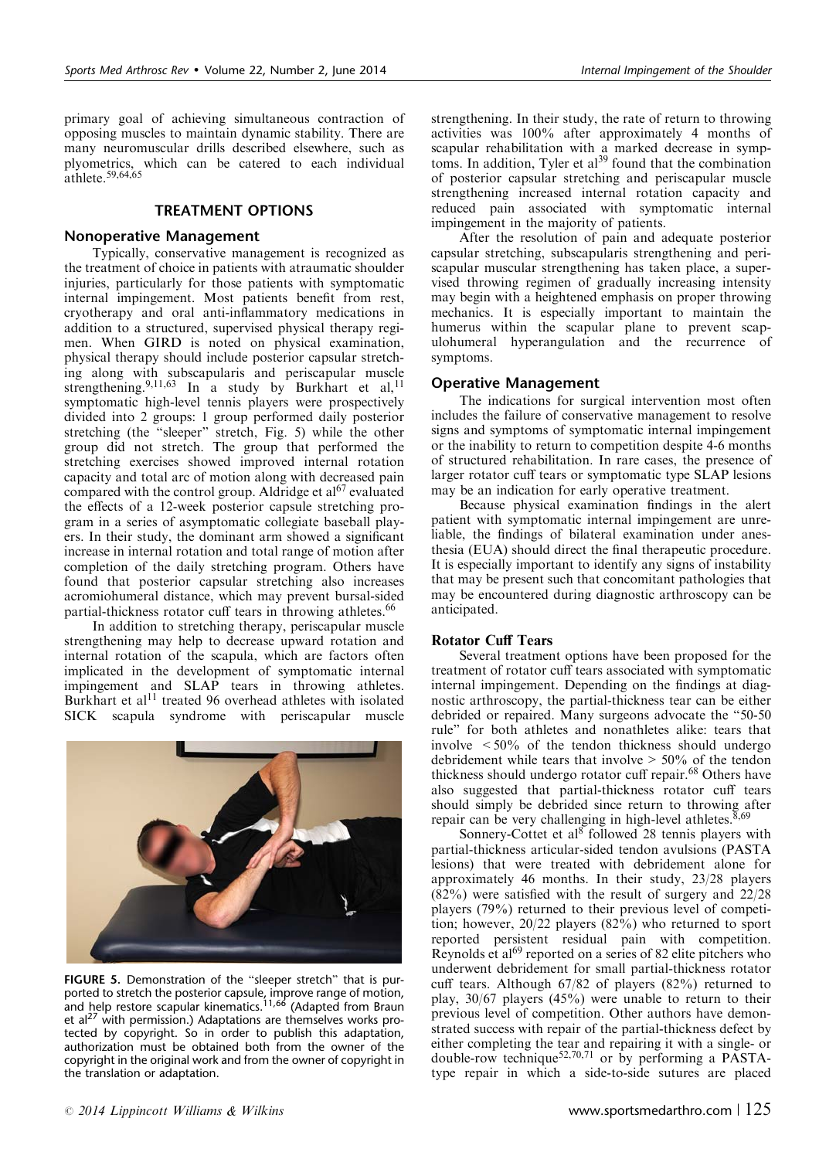primary goal of achieving simultaneous contraction of opposing muscles to maintain dynamic stability. There are many neuromuscular drills described elsewhere, such as plyometrics, which can be catered to each individual athlete.<sup>[59,64,65](#page-8-0)</sup>

# TREATMENT OPTIONS

# Nonoperative Management

Typically, conservative management is recognized as the treatment of choice in patients with atraumatic shoulder injuries, particularly for those patients with symptomatic internal impingement. Most patients benefit from rest, cryotherapy and oral anti-inflammatory medications in addition to a structured, supervised physical therapy regimen. When GIRD is noted on physical examination, physical therapy should include posterior capsular stretching along with subscapularis and periscapular muscle strengthening.<sup>[9,11,63](#page-7-0)</sup> In a study by Burkhart et al,<sup>[11](#page-7-0)</sup> symptomatic high-level tennis players were prospectively divided into 2 groups: 1 group performed daily posterior stretching (the "sleeper" stretch, Fig. 5) while the other group did not stretch. The group that performed the stretching exercises showed improved internal rotation capacity and total arc of motion along with decreased pain compared with the control group. Aldridge et al<sup>[67](#page-8-0)</sup> evaluated the effects of a 12-week posterior capsule stretching program in a series of asymptomatic collegiate baseball players. In their study, the dominant arm showed a significant increase in internal rotation and total range of motion after completion of the daily stretching program. Others have found that posterior capsular stretching also increases acromiohumeral distance, which may prevent bursal-sided partial-thickness rotator cuff tears in throwing athletes.<sup>66</sup>

In addition to stretching therapy, periscapular muscle strengthening may help to decrease upward rotation and internal rotation of the scapula, which are factors often implicated in the development of symptomatic internal impingement and SLAP tears in throwing athletes. Burkhart et al<sup>[11](#page-7-0)</sup> treated 96 overhead athletes with isolated SICK scapula syndrome with periscapular muscle



FIGURE 5. Demonstration of the "sleeper stretch" that is pur-ported to stretch the posterior capsule, improve range of motion,<br>and help restore scapular kinematics.<sup>[11,66](#page-7-0)</sup> (Adapted from Braun et al<sup>27</sup> with permission.) Adaptations are themselves works protected by copyright. So in order to publish this adaptation, authorization must be obtained both from the owner of the copyright in the original work and from the owner of copyright in the translation or adaptation.

strengthening. In their study, the rate of return to throwing activities was 100% after approximately 4 months of scapular rehabilitation with a marked decrease in symptoms. In addition, Tyler et  $al<sup>39</sup>$  $al<sup>39</sup>$  $al<sup>39</sup>$  found that the combination of posterior capsular stretching and periscapular muscle strengthening increased internal rotation capacity and reduced pain associated with symptomatic internal impingement in the majority of patients.

After the resolution of pain and adequate posterior capsular stretching, subscapularis strengthening and periscapular muscular strengthening has taken place, a supervised throwing regimen of gradually increasing intensity may begin with a heightened emphasis on proper throwing mechanics. It is especially important to maintain the humerus within the scapular plane to prevent scapulohumeral hyperangulation and the recurrence of symptoms.

# Operative Management

The indications for surgical intervention most often includes the failure of conservative management to resolve signs and symptoms of symptomatic internal impingement or the inability to return to competition despite 4-6 months of structured rehabilitation. In rare cases, the presence of larger rotator cuff tears or symptomatic type SLAP lesions may be an indication for early operative treatment.

Because physical examination findings in the alert patient with symptomatic internal impingement are unreliable, the findings of bilateral examination under anesthesia (EUA) should direct the final therapeutic procedure. It is especially important to identify any signs of instability that may be present such that concomitant pathologies that may be encountered during diagnostic arthroscopy can be anticipated.

# Rotator Cuff Tears

Several treatment options have been proposed for the treatment of rotator cuff tears associated with symptomatic internal impingement. Depending on the findings at diagnostic arthroscopy, the partial-thickness tear can be either debrided or repaired. Many surgeons advocate the "50-50 rule" for both athletes and nonathletes alike: tears that involve  $\leq 50\%$  of the tendon thickness should undergo debridement while tears that involve  $> 50\%$  of the tendon thickness should undergo rotator cuff repair.<sup>[68](#page-8-0)</sup> Others have also suggested that partial-thickness rotator cuff tears should simply be debrided since return to throwing after repair can be very challenging in high-level athletes. $8,69$ 

Sonnery-Cottet et  $al<sup>8</sup>$  $al<sup>8</sup>$  $al<sup>8</sup>$  followed 28 tennis players with partial-thickness articular-sided tendon avulsions (PASTA lesions) that were treated with debridement alone for approximately 46 months. In their study, 23/28 players (82%) were satisfied with the result of surgery and 22/28 players (79%) returned to their previous level of competition; however, 20/22 players (82%) who returned to sport reported persistent residual pain with competition. Reynolds et al<sup>[69](#page-9-0)</sup> reported on a series of 82 elite pitchers who underwent debridement for small partial-thickness rotator cuff tears. Although 67/82 of players (82%) returned to play, 30/67 players (45%) were unable to return to their previous level of competition. Other authors have demonstrated success with repair of the partial-thickness defect by either completing the tear and repairing it with a single- or double-row technique<sup>[52,70,71](#page-8-0)</sup> or by performing a PASTAtype repair in which a side-to-side sutures are placed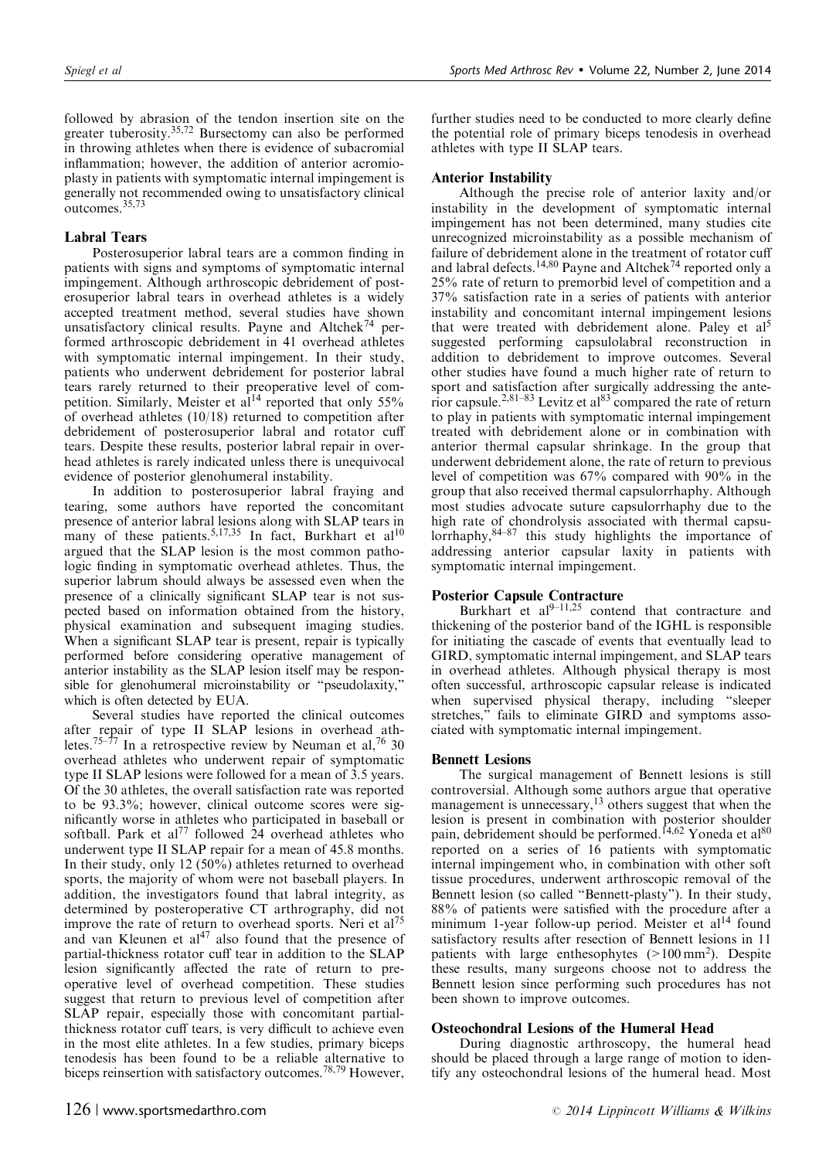followed by abrasion of the tendon insertion site on the greater tuberosity.[35,72](#page-8-0) Bursectomy can also be performed in throwing athletes when there is evidence of subacromial inflammation; however, the addition of anterior acromioplasty in patients with symptomatic internal impingement is generally not recommended owing to unsatisfactory clinical outcomes.[35,73](#page-8-0)

# Labral Tears

Posterosuperior labral tears are a common finding in patients with signs and symptoms of symptomatic internal impingement. Although arthroscopic debridement of posterosuperior labral tears in overhead athletes is a widely accepted treatment method, several studies have shown unsatisfactory clinical results. Payne and Altchek<sup>[74](#page-9-0)</sup> performed arthroscopic debridement in 41 overhead athletes with symptomatic internal impingement. In their study, patients who underwent debridement for posterior labral tears rarely returned to their preoperative level of com-petition. Similarly, Meister et al<sup>[14](#page-7-0)</sup> reported that only  $55\%$ of overhead athletes (10/18) returned to competition after debridement of posterosuperior labral and rotator cuff tears. Despite these results, posterior labral repair in overhead athletes is rarely indicated unless there is unequivocal evidence of posterior glenohumeral instability.

In addition to posterosuperior labral fraying and tearing, some authors have reported the concomitant presence of anterior labral lesions along with SLAP tears in many of these patients.<sup>[5,17,35](#page-7-0)</sup> In fact, Burkhart et al<sup>[10](#page-7-0)</sup> argued that the SLAP lesion is the most common pathologic finding in symptomatic overhead athletes. Thus, the superior labrum should always be assessed even when the presence of a clinically significant SLAP tear is not suspected based on information obtained from the history, physical examination and subsequent imaging studies. When a significant SLAP tear is present, repair is typically performed before considering operative management of anterior instability as the SLAP lesion itself may be responsible for glenohumeral microinstability or "pseudolaxity," which is often detected by EUA.

Several studies have reported the clinical outcomes after repair of type II SLAP lesions in overhead ath-letes.<sup>[75–77](#page-9-0)</sup> In a retrospective review by Neuman et al,<sup>[76](#page-9-0)</sup> 30 overhead athletes who underwent repair of symptomatic type II SLAP lesions were followed for a mean of 3.5 years. Of the 30 athletes, the overall satisfaction rate was reported to be 93.3%; however, clinical outcome scores were significantly worse in athletes who participated in baseball or softball. Park et al<sup>[77](#page-9-0)</sup> followed 24 overhead athletes who underwent type II SLAP repair for a mean of 45.8 months. In their study, only 12 (50%) athletes returned to overhead sports, the majority of whom were not baseball players. In addition, the investigators found that labral integrity, as determined by posteroperative CT arthrography, did not improve the rate of return to overhead sports. Neri et  $al^{75}$  $al^{75}$  $al^{75}$ and van Kleunen et al<sup>[47](#page-8-0)</sup> also found that the presence of partial-thickness rotator cuff tear in addition to the SLAP lesion significantly affected the rate of return to preoperative level of overhead competition. These studies suggest that return to previous level of competition after SLAP repair, especially those with concomitant partialthickness rotator cuff tears, is very difficult to achieve even in the most elite athletes. In a few studies, primary biceps tenodesis has been found to be a reliable alternative to biceps reinsertion with satisfactory outcomes.<sup>[78,79](#page-9-0)</sup> However, further studies need to be conducted to more clearly define the potential role of primary biceps tenodesis in overhead athletes with type II SLAP tears.

# Anterior Instability

Although the precise role of anterior laxity and/or instability in the development of symptomatic internal impingement has not been determined, many studies cite unrecognized microinstability as a possible mechanism of failure of debridement alone in the treatment of rotator cuff and labral defects.<sup>[14,80](#page-7-0)</sup> Payne and Altchek<sup>[74](#page-9-0)</sup> reported only a 25% rate of return to premorbid level of competition and a 37% satisfaction rate in a series of patients with anterior instability and concomitant internal impingement lesions that were treated with debridement alone. Paley et al<sup>[5](#page-7-0)</sup> suggested performing capsulolabral reconstruction in addition to debridement to improve outcomes. Several other studies have found a much higher rate of return to sport and satisfaction after surgically addressing the ante-rior capsule.<sup>[2,81–83](#page-7-0)</sup> Levitz et al<sup>[83](#page-9-0)</sup> compared the rate of return to play in patients with symptomatic internal impingement treated with debridement alone or in combination with anterior thermal capsular shrinkage. In the group that underwent debridement alone, the rate of return to previous level of competition was 67% compared with 90% in the group that also received thermal capsulorrhaphy. Although most studies advocate suture capsulorrhaphy due to the high rate of chondrolysis associated with thermal capsulorrhaphy, $84-87$  this study highlights the importance of addressing anterior capsular laxity in patients with symptomatic internal impingement.

# Posterior Capsule Contracture

Burkhart et  $a^{19-11,25}$  contend that contracture and thickening of the posterior band of the IGHL is responsible for initiating the cascade of events that eventually lead to GIRD, symptomatic internal impingement, and SLAP tears in overhead athletes. Although physical therapy is most often successful, arthroscopic capsular release is indicated when supervised physical therapy, including "sleeper stretches," fails to eliminate GIRD and symptoms associated with symptomatic internal impingement.

## Bennett Lesions

The surgical management of Bennett lesions is still controversial. Although some authors argue that operative management is unnecessary,<sup>[13](#page-7-0)</sup> others suggest that when the lesion is present in combination with posterior shoulder pain, debridement should be performed.<sup>[14,62](#page-7-0)</sup> Yoneda et al<sup>[80](#page-9-0)</sup> reported on a series of 16 patients with symptomatic internal impingement who, in combination with other soft tissue procedures, underwent arthroscopic removal of the Bennett lesion (so called "Bennett-plasty"). In their study, 88% of patients were satisfied with the procedure after a minimum 1-year follow-up period. Meister et  $al<sup>14</sup>$  $al<sup>14</sup>$  $al<sup>14</sup>$  found satisfactory results after resection of Bennett lesions in 11 patients with large enthesophytes (>100 mm<sup>2</sup>). Despite these results, many surgeons choose not to address the Bennett lesion since performing such procedures has not been shown to improve outcomes.

# Osteochondral Lesions of the Humeral Head

During diagnostic arthroscopy, the humeral head should be placed through a large range of motion to identify any osteochondral lesions of the humeral head. Most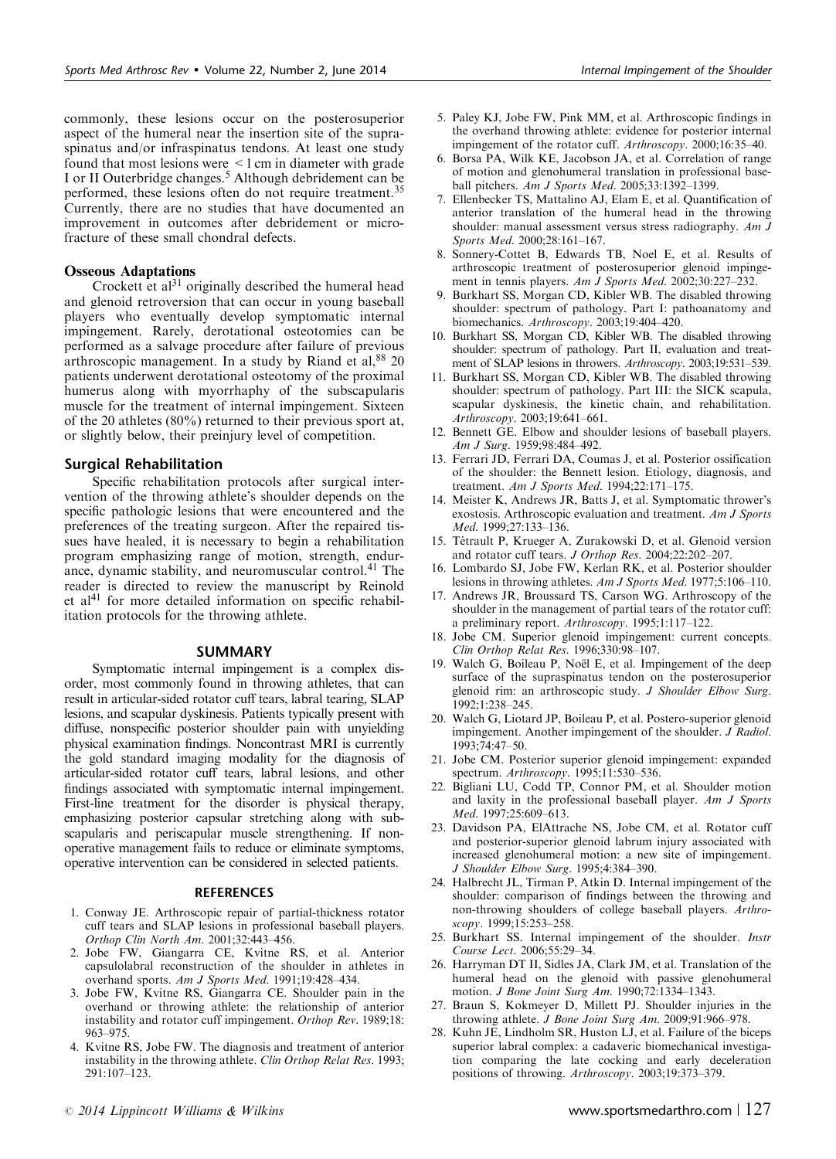<span id="page-7-0"></span>commonly, these lesions occur on the posterosuperior aspect of the humeral near the insertion site of the supraspinatus and/or infraspinatus tendons. At least one study found that most lesions were <1 cm in diameter with grade I or II Outerbridge changes.<sup>5</sup> Although debridement can be performed, these lesions often do not require treatment.<sup>[35](#page-8-0)</sup> Currently, there are no studies that have documented an improvement in outcomes after debridement or microfracture of these small chondral defects.

# Osseous Adaptations

Crockett et al<sup>[31](#page-8-0)</sup> originally described the humeral head and glenoid retroversion that can occur in young baseball players who eventually develop symptomatic internal impingement. Rarely, derotational osteotomies can be performed as a salvage procedure after failure of previous arthroscopic management. In a study by Riand et al, [88](#page-9-0) 20 patients underwent derotational osteotomy of the proximal humerus along with myorrhaphy of the subscapularis muscle for the treatment of internal impingement. Sixteen of the 20 athletes (80%) returned to their previous sport at, or slightly below, their preinjury level of competition.

## Surgical Rehabilitation

Specific rehabilitation protocols after surgical intervention of the throwing athlete's shoulder depends on the specific pathologic lesions that were encountered and the preferences of the treating surgeon. After the repaired tissues have healed, it is necessary to begin a rehabilitation program emphasizing range of motion, strength, endur-ance, dynamic stability, and neuromuscular control.<sup>[41](#page-8-0)</sup> The reader is directed to review the manuscript by Reinold et al<sup>[41](#page-8-0)</sup> for more detailed information on specific rehabilitation protocols for the throwing athlete.

#### SUMMARY

Symptomatic internal impingement is a complex disorder, most commonly found in throwing athletes, that can result in articular-sided rotator cuff tears, labral tearing, SLAP lesions, and scapular dyskinesis. Patients typically present with diffuse, nonspecific posterior shoulder pain with unyielding physical examination findings. Noncontrast MRI is currently the gold standard imaging modality for the diagnosis of articular-sided rotator cuff tears, labral lesions, and other findings associated with symptomatic internal impingement. First-line treatment for the disorder is physical therapy, emphasizing posterior capsular stretching along with subscapularis and periscapular muscle strengthening. If nonoperative management fails to reduce or eliminate symptoms, operative intervention can be considered in selected patients.

#### **REFERENCES**

- 1. Conway JE. Arthroscopic repair of partial-thickness rotator cuff tears and SLAP lesions in professional baseball players. Orthop Clin North Am. 2001;32:443–456.
- 2. Jobe FW, Giangarra CE, Kvitne RS, et al. Anterior capsulolabral reconstruction of the shoulder in athletes in overhand sports. Am J Sports Med. 1991;19:428-434.
- 3. Jobe FW, Kvitne RS, Giangarra CE. Shoulder pain in the overhand or throwing athlete: the relationship of anterior instability and rotator cuff impingement. Orthop Rev. 1989;18: 963–975.
- 4. Kvitne RS, Jobe FW. The diagnosis and treatment of anterior instability in the throwing athlete. Clin Orthop Relat Res. 1993; 291:107–123.
- 5. Paley KJ, Jobe FW, Pink MM, et al. Arthroscopic findings in the overhand throwing athlete: evidence for posterior internal impingement of the rotator cuff. Arthroscopy. 2000;16:35–40.
- 6. Borsa PA, Wilk KE, Jacobson JA, et al. Correlation of range of motion and glenohumeral translation in professional baseball pitchers. Am J Sports Med. 2005;33:1392–1399.
- 7. Ellenbecker TS, Mattalino AJ, Elam E, et al. Quantification of anterior translation of the humeral head in the throwing shoulder: manual assessment versus stress radiography. Am J Sports Med. 2000;28:161–167.
- 8. Sonnery-Cottet B, Edwards TB, Noel E, et al. Results of arthroscopic treatment of posterosuperior glenoid impingement in tennis players. Am J Sports Med. 2002;30:227-232.
- 9. Burkhart SS, Morgan CD, Kibler WB. The disabled throwing shoulder: spectrum of pathology. Part I: pathoanatomy and biomechanics. Arthroscopy. 2003;19:404–420.
- 10. Burkhart SS, Morgan CD, Kibler WB. The disabled throwing shoulder: spectrum of pathology. Part II, evaluation and treatment of SLAP lesions in throwers. Arthroscopy. 2003;19:531–539.
- 11. Burkhart SS, Morgan CD, Kibler WB. The disabled throwing shoulder: spectrum of pathology. Part III: the SICK scapula, scapular dyskinesis, the kinetic chain, and rehabilitation. Arthroscopy. 2003;19:641–661.
- 12. Bennett GE. Elbow and shoulder lesions of baseball players. Am J Surg. 1959;98:484–492.
- 13. Ferrari JD, Ferrari DA, Coumas J, et al. Posterior ossification of the shoulder: the Bennett lesion. Etiology, diagnosis, and treatment. Am J Sports Med. 1994;22:171–175.
- 14. Meister K, Andrews JR, Batts J, et al. Symptomatic thrower's exostosis. Arthroscopic evaluation and treatment. Am J Sports Med. 1999;27:133–136.
- 15. Tétrault P, Krueger A, Zurakowski D, et al. Glenoid version and rotator cuff tears. J Orthop Res. 2004;22:202–207.
- 16. Lombardo SJ, Jobe FW, Kerlan RK, et al. Posterior shoulder lesions in throwing athletes. Am J Sports Med. 1977;5:106–110.
- 17. Andrews JR, Broussard TS, Carson WG. Arthroscopy of the shoulder in the management of partial tears of the rotator cuff: a preliminary report. Arthroscopy. 1995;1:117–122.
- 18. Jobe CM. Superior glenoid impingement: current concepts. Clin Orthop Relat Res. 1996;330:98–107.
- 19. Walch G, Boileau P, Noël E, et al. Impingement of the deep surface of the supraspinatus tendon on the posterosuperior glenoid rim: an arthroscopic study. J Shoulder Elbow Surg. 1992;1:238–245.
- 20. Walch G, Liotard JP, Boileau P, et al. Postero-superior glenoid impingement. Another impingement of the shoulder. J Radiol. 1993;74:47–50.
- 21. Jobe CM. Posterior superior glenoid impingement: expanded spectrum. Arthroscopy. 1995;11:530–536.
- 22. Bigliani LU, Codd TP, Connor PM, et al. Shoulder motion and laxity in the professional baseball player. Am J Sports Med. 1997;25:609–613.
- 23. Davidson PA, ElAttrache NS, Jobe CM, et al. Rotator cuff and posterior-superior glenoid labrum injury associated with increased glenohumeral motion: a new site of impingement. J Shoulder Elbow Surg. 1995;4:384–390.
- 24. Halbrecht JL, Tirman P, Atkin D. Internal impingement of the shoulder: comparison of findings between the throwing and non-throwing shoulders of college baseball players. Arthroscopy. 1999;15:253–258.
- 25. Burkhart SS. Internal impingement of the shoulder. Instr Course Lect. 2006;55:29–34.
- 26. Harryman DT II, Sidles JA, Clark JM, et al. Translation of the humeral head on the glenoid with passive glenohumeral motion. J Bone Joint Surg Am. 1990;72:1334–1343.
- 27. Braun S, Kokmeyer D, Millett PJ. Shoulder injuries in the throwing athlete. J Bone Joint Surg Am. 2009;91:966–978.
- 28. Kuhn JE, Lindholm SR, Huston LJ, et al. Failure of the biceps superior labral complex: a cadaveric biomechanical investigation comparing the late cocking and early deceleration positions of throwing. Arthroscopy. 2003;19:373–379.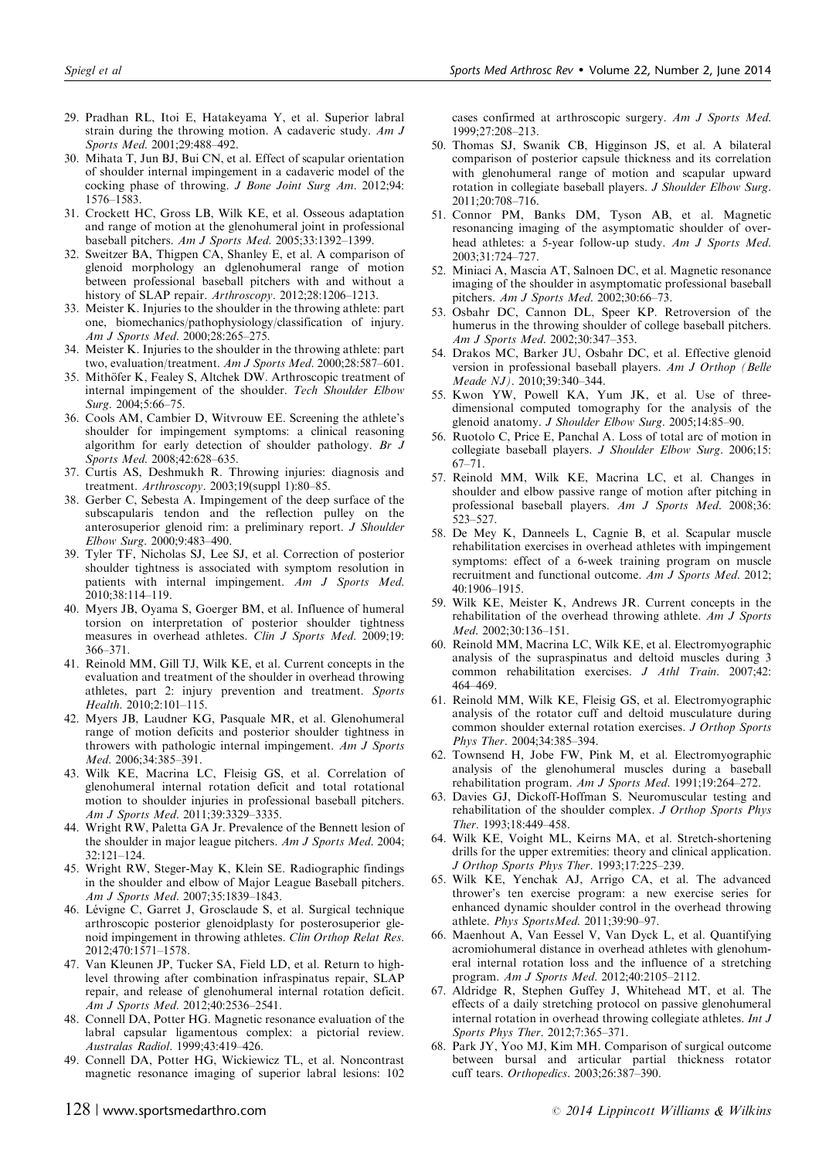- <span id="page-8-0"></span>29. Pradhan RL, Itoi E, Hatakeyama Y, et al. Superior labral strain during the throwing motion. A cadaveric study. Am J Sports Med. 2001;29:488–492.
- 30. Mihata T, Jun BJ, Bui CN, et al. Effect of scapular orientation of shoulder internal impingement in a cadaveric model of the cocking phase of throwing. J Bone Joint Surg Am. 2012;94: 1576–1583.
- 31. Crockett HC, Gross LB, Wilk KE, et al. Osseous adaptation and range of motion at the glenohumeral joint in professional baseball pitchers. Am J Sports Med. 2005;33:1392–1399.
- 32. Sweitzer BA, Thigpen CA, Shanley E, et al. A comparison of glenoid morphology an dglenohumeral range of motion between professional baseball pitchers with and without a history of SLAP repair. Arthroscopy. 2012;28:1206–1213.
- 33. Meister K. Injuries to the shoulder in the throwing athlete: part one, biomechanics/pathophysiology/classification of injury. Am J Sports Med. 2000;28:265–275.
- 34. Meister K. Injuries to the shoulder in the throwing athlete: part two, evaluation/treatment. Am J Sports Med. 2000;28:587-601.
- 35. Mithöfer K, Fealey S, Altchek DW. Arthroscopic treatment of internal impingement of the shoulder. Tech Shoulder Elbow Surg. 2004;5:66–75.
- 36. Cools AM, Cambier D, Witvrouw EE. Screening the athlete's shoulder for impingement symptoms: a clinical reasoning algorithm for early detection of shoulder pathology. Br J Sports Med. 2008;42:628–635.
- 37. Curtis AS, Deshmukh R. Throwing injuries: diagnosis and treatment. Arthroscopy. 2003;19(suppl 1):80–85.
- 38. Gerber C, Sebesta A. Impingement of the deep surface of the subscapularis tendon and the reflection pulley on the anterosuperior glenoid rim: a preliminary report. J Shoulder Elbow Surg. 2000;9:483–490.
- 39. Tyler TF, Nicholas SJ, Lee SJ, et al. Correction of posterior shoulder tightness is associated with symptom resolution in patients with internal impingement. Am J Sports Med. 2010;38:114–119.
- 40. Myers JB, Oyama S, Goerger BM, et al. Influence of humeral torsion on interpretation of posterior shoulder tightness measures in overhead athletes. Clin J Sports Med. 2009;19: 366–371.
- 41. Reinold MM, Gill TJ, Wilk KE, et al. Current concepts in the evaluation and treatment of the shoulder in overhead throwing athletes, part 2: injury prevention and treatment. Sports Health. 2010;2:101–115.
- 42. Myers JB, Laudner KG, Pasquale MR, et al. Glenohumeral range of motion deficits and posterior shoulder tightness in throwers with pathologic internal impingement. Am J Sports Med. 2006;34:385–391.
- 43. Wilk KE, Macrina LC, Fleisig GS, et al. Correlation of glenohumeral internal rotation deficit and total rotational motion to shoulder injuries in professional baseball pitchers. Am J Sports Med. 2011;39:3329–3335.
- 44. Wright RW, Paletta GA Jr. Prevalence of the Bennett lesion of the shoulder in major league pitchers. Am J Sports Med. 2004; 32:121–124.
- 45. Wright RW, Steger-May K, Klein SE. Radiographic findings in the shoulder and elbow of Major League Baseball pitchers. Am J Sports Med. 2007;35:1839–1843.
- 46. Lévigne C, Garret J, Grosclaude S, et al. Surgical technique arthroscopic posterior glenoidplasty for posterosuperior glenoid impingement in throwing athletes. Clin Orthop Relat Res. 2012;470:1571–1578.
- 47. Van Kleunen JP, Tucker SA, Field LD, et al. Return to highlevel throwing after combination infraspinatus repair, SLAP repair, and release of glenohumeral internal rotation deficit. Am J Sports Med. 2012;40:2536–2541.
- 48. Connell DA, Potter HG. Magnetic resonance evaluation of the labral capsular ligamentous complex: a pictorial review. Australas Radiol. 1999;43:419–426.
- 49. Connell DA, Potter HG, Wickiewicz TL, et al. Noncontrast magnetic resonance imaging of superior labral lesions: 102

cases confirmed at arthroscopic surgery. Am J Sports Med. 1999;27:208–213.

- 50. Thomas SJ, Swanik CB, Higginson JS, et al. A bilateral comparison of posterior capsule thickness and its correlation with glenohumeral range of motion and scapular upward rotation in collegiate baseball players. J Shoulder Elbow Surg. 2011;20:708–716.
- 51. Connor PM, Banks DM, Tyson AB, et al. Magnetic resonancing imaging of the asymptomatic shoulder of overhead athletes: a 5-year follow-up study. Am J Sports Med. 2003;31:724–727.
- 52. Miniaci A, Mascia AT, Salnoen DC, et al. Magnetic resonance imaging of the shoulder in asymptomatic professional baseball pitchers. Am J Sports Med. 2002;30:66–73.
- 53. Osbahr DC, Cannon DL, Speer KP. Retroversion of the humerus in the throwing shoulder of college baseball pitchers. Am J Sports Med. 2002;30:347–353.
- 54. Drakos MC, Barker JU, Osbahr DC, et al. Effective glenoid version in professional baseball players. Am J Orthop (Belle Meade NJ). 2010;39:340–344.
- 55. Kwon YW, Powell KA, Yum JK, et al. Use of threedimensional computed tomography for the analysis of the glenoid anatomy. J Shoulder Elbow Surg. 2005;14:85–90.
- 56. Ruotolo C, Price E, Panchal A. Loss of total arc of motion in collegiate baseball players. J Shoulder Elbow Surg. 2006;15: 67–71.
- 57. Reinold MM, Wilk KE, Macrina LC, et al. Changes in shoulder and elbow passive range of motion after pitching in professional baseball players. Am J Sports Med. 2008;36: 523–527.
- 58. De Mey K, Danneels L, Cagnie B, et al. Scapular muscle rehabilitation exercises in overhead athletes with impingement symptoms: effect of a 6-week training program on muscle recruitment and functional outcome. Am J Sports Med. 2012; 40:1906–1915.
- 59. Wilk KE, Meister K, Andrews JR. Current concepts in the rehabilitation of the overhead throwing athlete. Am J Sports Med. 2002;30:136–151.
- 60. Reinold MM, Macrina LC, Wilk KE, et al. Electromyographic analysis of the supraspinatus and deltoid muscles during 3 common rehabilitation exercises. J Athl Train. 2007;42: 464–469.
- 61. Reinold MM, Wilk KE, Fleisig GS, et al. Electromyographic analysis of the rotator cuff and deltoid musculature during common shoulder external rotation exercises. J Orthop Sports Phys Ther. 2004;34:385–394.
- 62. Townsend H, Jobe FW, Pink M, et al. Electromyographic analysis of the glenohumeral muscles during a baseball rehabilitation program. Am J Sports Med. 1991;19:264–272.
- 63. Davies GJ, Dickoff-Hoffman S. Neuromuscular testing and rehabilitation of the shoulder complex. J Orthop Sports Phys Ther. 1993;18:449–458.
- 64. Wilk KE, Voight ML, Keirns MA, et al. Stretch-shortening drills for the upper extremities: theory and clinical application. J Orthop Sports Phys Ther. 1993;17:225–239.
- 65. Wilk KE, Yenchak AJ, Arrigo CA, et al. The advanced thrower's ten exercise program: a new exercise series for enhanced dynamic shoulder control in the overhead throwing athlete. Phys SportsMed. 2011;39:90–97.
- 66. Maenhout A, Van Eessel V, Van Dyck L, et al. Quantifying acromiohumeral distance in overhead athletes with glenohumeral internal rotation loss and the influence of a stretching program. Am J Sports Med. 2012;40:2105–2112.
- 67. Aldridge R, Stephen Guffey J, Whitehead MT, et al. The effects of a daily stretching protocol on passive glenohumeral internal rotation in overhead throwing collegiate athletes. Int J Sports Phys Ther. 2012;7:365–371.
- 68. Park JY, Yoo MJ, Kim MH. Comparison of surgical outcome between bursal and articular partial thickness rotator cuff tears. Orthopedics. 2003;26:387–390.